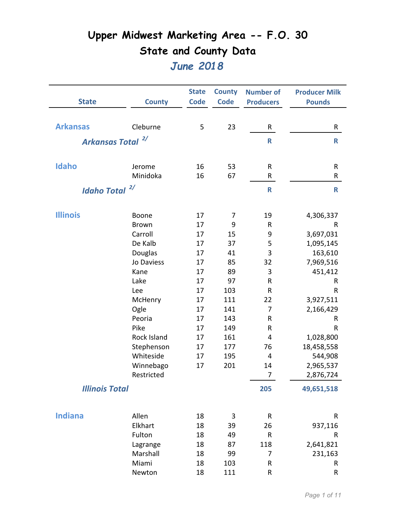| <b>State</b>          | <b>County</b>     | <b>State</b><br><b>Code</b> | <b>County</b><br><b>Code</b> | <b>Number of</b><br><b>Producers</b> | <b>Producer Milk</b><br><b>Pounds</b> |
|-----------------------|-------------------|-----------------------------|------------------------------|--------------------------------------|---------------------------------------|
|                       |                   |                             |                              |                                      |                                       |
| <b>Arkansas</b>       | Cleburne          | 5                           | 23                           | R                                    | R                                     |
| <b>Arkansas Total</b> | 2/                |                             |                              | $\mathsf{R}$                         | $\mathsf{R}$                          |
| Idaho                 | Jerome            | 16                          | 53                           | R                                    | R                                     |
|                       | Minidoka          | 16                          | 67                           | R                                    | R                                     |
| <b>Idaho Total</b>    | 2/                |                             |                              | R                                    | $\mathsf{R}$                          |
| <b>Illinois</b>       | Boone             | 17                          | 7                            | 19                                   |                                       |
|                       | <b>Brown</b>      | 17                          | 9                            | $\mathsf{R}$                         | 4,306,337<br>R                        |
|                       | Carroll           | 17                          | 15                           | 9                                    | 3,697,031                             |
|                       | De Kalb           | 17                          | 37                           | 5                                    | 1,095,145                             |
|                       | Douglas           | 17                          | 41                           | 3                                    | 163,610                               |
|                       | Jo Daviess        | 17                          | 85                           | 32                                   | 7,969,516                             |
|                       | Kane              | 17                          | 89                           | 3                                    | 451,412                               |
|                       | Lake              | 17                          | 97                           | R                                    | R                                     |
|                       | Lee               | 17                          | 103                          | R                                    | $\mathsf{R}$                          |
|                       | McHenry           | 17                          | 111                          | 22                                   | 3,927,511                             |
|                       | Ogle              | 17                          | 141                          | $\overline{7}$                       | 2,166,429                             |
|                       | Peoria            | 17                          | 143                          | R                                    | R                                     |
|                       | Pike              | 17                          | 149                          | R                                    | R                                     |
|                       | Rock Island       | 17                          | 161                          | 4                                    | 1,028,800                             |
|                       | Stephenson        | 17                          | 177                          | 76                                   | 18,458,558                            |
|                       | Whiteside         | 17                          | 195                          | $\overline{4}$                       | 544,908                               |
|                       | Winnebago         | 17                          | 201                          | 14                                   | 2,965,537                             |
|                       | Restricted        |                             |                              | 7                                    | 2,876,724                             |
| <b>Illinois Total</b> |                   |                             |                              | 205                                  | 49,651,518                            |
|                       |                   |                             |                              |                                      |                                       |
| <b>Indiana</b>        | Allen             | 18                          | 3                            | ${\sf R}$                            | R                                     |
|                       | Elkhart           | 18                          | 39                           | 26                                   | 937,116                               |
|                       | Fulton            | 18                          | 49                           | ${\sf R}$                            | R                                     |
|                       | Lagrange          | 18                          | 87                           | 118                                  | 2,641,821                             |
|                       | Marshall<br>Miami | 18<br>18                    | 99<br>103                    | 7                                    | 231,163                               |
|                       | Newton            | 18                          | 111                          | R<br>${\sf R}$                       | R<br>${\sf R}$                        |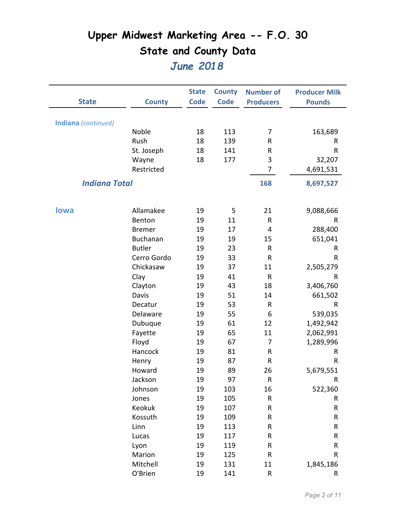| <b>State</b>         | <b>County</b>   | <b>State</b><br><b>Code</b> | <b>County</b><br><b>Code</b> | <b>Number of</b><br><b>Producers</b> | <b>Producer Milk</b><br><b>Pounds</b> |
|----------------------|-----------------|-----------------------------|------------------------------|--------------------------------------|---------------------------------------|
|                      |                 |                             |                              |                                      |                                       |
| Indiana (continued)  |                 |                             |                              |                                      |                                       |
|                      | Noble           | 18                          | 113                          | 7                                    | 163,689                               |
|                      | Rush            | 18                          | 139                          | $\sf R$                              | R                                     |
|                      | St. Joseph      | 18                          | 141                          | $\sf R$                              | $\mathsf R$                           |
|                      | Wayne           | 18                          | 177                          | 3                                    | 32,207                                |
|                      | Restricted      |                             |                              | 7                                    | 4,691,531                             |
| <b>Indiana Total</b> |                 |                             |                              | 168                                  | 8,697,527                             |
| <b>lowa</b>          | Allamakee       | 19                          | 5                            | 21                                   | 9,088,666                             |
|                      | Benton          | 19                          | 11                           | ${\sf R}$                            | R                                     |
|                      | <b>Bremer</b>   | 19                          | 17                           | 4                                    | 288,400                               |
|                      | <b>Buchanan</b> | 19                          | 19                           | 15                                   | 651,041                               |
|                      | <b>Butler</b>   | 19                          | 23                           | $\mathsf R$                          | R                                     |
|                      | Cerro Gordo     | 19                          | 33                           | $\mathsf R$                          | R                                     |
|                      | Chickasaw       | 19                          | 37                           | 11                                   | 2,505,279                             |
|                      | Clay            | 19                          | 41                           | $\mathsf R$                          | $\sf R$                               |
|                      | Clayton         | 19                          | 43                           | 18                                   | 3,406,760                             |
|                      | Davis           | 19                          | 51                           | 14                                   | 661,502                               |
|                      | Decatur         | 19                          | 53                           | $\mathsf R$                          | R                                     |
|                      | Delaware        | 19                          | 55                           | 6                                    | 539,035                               |
|                      | Dubuque         | 19                          | 61                           | 12                                   | 1,492,942                             |
|                      | Fayette         | 19                          | 65                           | 11                                   | 2,062,991                             |
|                      | Floyd           | 19                          | 67                           | 7                                    | 1,289,996                             |
|                      | Hancock         | 19                          | 81                           | $\sf R$                              | R                                     |
|                      | Henry           | 19                          | 87                           | ${\sf R}$                            | $\sf R$                               |
|                      | Howard          | 19                          | 89                           | 26                                   | 5,679,551                             |
|                      | Jackson         | 19                          | 97                           | $\sf R$                              | R                                     |
|                      | Johnson         | 19                          | 103                          | 16                                   | 522,360                               |
|                      | Jones           | 19                          | 105                          | ${\sf R}$                            | R                                     |
|                      | Keokuk          | 19                          | 107                          | R                                    | R                                     |
|                      | Kossuth         | 19                          | 109                          | R                                    | R                                     |
|                      | Linn            | 19                          | 113                          | $\mathsf R$                          | R                                     |
|                      | Lucas           | 19                          | 117                          | ${\sf R}$                            | $\mathsf R$                           |
|                      | Lyon            | 19                          | 119                          | R                                    | R                                     |
|                      | Marion          | 19                          | 125                          | $\sf R$                              | R                                     |
|                      | Mitchell        | 19                          | 131                          | 11                                   | 1,845,186                             |
|                      | O'Brien         | 19                          | 141                          | $\sf R$                              | R                                     |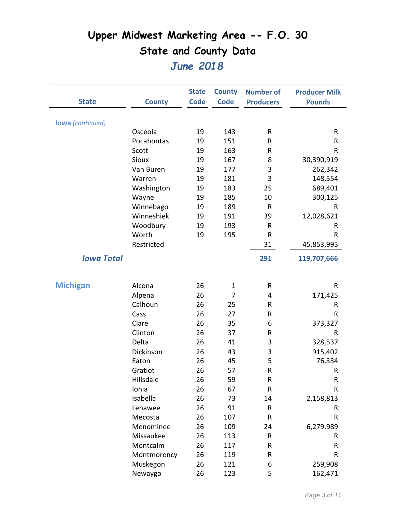|                         |                     | <b>State</b> | <b>County</b> | <b>Number of</b> | <b>Producer Milk</b> |
|-------------------------|---------------------|--------------|---------------|------------------|----------------------|
| <b>State</b>            | <b>County</b>       | <b>Code</b>  | <b>Code</b>   | <b>Producers</b> | <b>Pounds</b>        |
|                         |                     |              |               |                  |                      |
| <b>lowa</b> (continued) |                     |              |               |                  |                      |
|                         | Osceola             | 19           | 143           | R                | R                    |
|                         | Pocahontas<br>Scott | 19<br>19     | 151<br>163    | R<br>R           | $\sf R$<br>${\sf R}$ |
|                         | <b>Sioux</b>        | 19           | 167           | 8                | 30,390,919           |
|                         | Van Buren           | 19           | 177           | 3                | 262,342              |
|                         | Warren              | 19           | 181           | 3                | 148,554              |
|                         | Washington          | 19           | 183           | 25               | 689,401              |
|                         | Wayne               | 19           | 185           | 10               | 300,125              |
|                         | Winnebago           | 19           | 189           | $\mathsf{R}$     | R                    |
|                         | Winneshiek          | 19           | 191           | 39               | 12,028,621           |
|                         | Woodbury            | 19           | 193           | R                | R                    |
|                         | Worth               | 19           | 195           | R                | R                    |
|                         | Restricted          |              |               | 31               | 45,853,995           |
|                         |                     |              |               |                  |                      |
| <b>Iowa Total</b>       |                     |              |               | 291              | 119,707,666          |
|                         |                     |              |               |                  |                      |
| <b>Michigan</b>         | Alcona              | 26           | $\mathbf{1}$  | R                | R                    |
|                         | Alpena              | 26           | 7             | 4                | 171,425              |
|                         | Calhoun             | 26           | 25            | R                | R                    |
|                         | Cass                | 26           | 27            | R                | $\mathsf R$          |
|                         | Clare               | 26           | 35            | 6                | 373,327              |
|                         | Clinton             | 26           | 37            | R                | R                    |
|                         | Delta               | 26           | 41            | 3                | 328,537              |
|                         | Dickinson           | 26           | 43            | 3                | 915,402              |
|                         | Eaton               | 26           | 45            | 5                | 76,334               |
|                         | Gratiot             | 26           | 57            | R                | R                    |
|                         | Hillsdale           | 26           | 59            | R                | $\sf R$              |
|                         | Ionia               | 26           | 67            | R                | R                    |
|                         | Isabella            | 26           | 73            | 14               | 2,158,813            |
|                         | Lenawee             | 26           | 91            | R                | R                    |
|                         | Mecosta             | 26           | 107           | R                | R                    |
|                         | Menominee           | 26           | 109           | 24               | 6,279,989            |
|                         | Missaukee           | 26           | 113           | R                | R                    |
|                         | Montcalm            | 26           | 117           | R                | R                    |
|                         | Montmorency         | 26           | 119           | R                | R                    |
|                         | Muskegon            | 26           | 121           | 6                | 259,908              |
|                         | Newaygo             | 26           | 123           | 5                | 162,471              |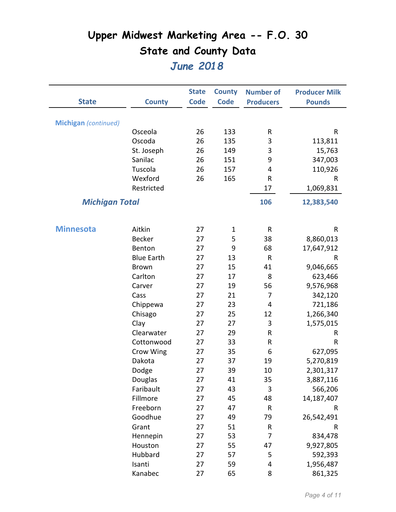|                             |                   | <b>State</b> | <b>County</b> | <b>Number of</b> | <b>Producer Milk</b> |
|-----------------------------|-------------------|--------------|---------------|------------------|----------------------|
| <b>State</b>                | <b>County</b>     | <b>Code</b>  | <b>Code</b>   | <b>Producers</b> | <b>Pounds</b>        |
|                             |                   |              |               |                  |                      |
| <b>Michigan</b> (continued) | Osceola           | 26           | 133           | R                | R                    |
|                             | Oscoda            | 26           | 135           | 3                | 113,811              |
|                             | St. Joseph        | 26           | 149           | 3                | 15,763               |
|                             | Sanilac           | 26           |               | 9                | 347,003              |
|                             | Tuscola           | 26           | 151<br>157    | 4                |                      |
|                             | Wexford           | 26           |               | R                | 110,926              |
|                             | Restricted        |              | 165           | 17               | R<br>1,069,831       |
|                             |                   |              |               |                  |                      |
| <b>Michigan Total</b>       |                   |              |               | 106              | 12,383,540           |
|                             |                   |              |               |                  |                      |
| <b>Minnesota</b>            | Aitkin            | 27           | 1             | ${\sf R}$        | $\mathsf{R}$         |
|                             | <b>Becker</b>     | 27           | 5             | 38               | 8,860,013            |
|                             | Benton            | 27           | 9             | 68               | 17,647,912           |
|                             | <b>Blue Earth</b> | 27           | 13            | R                | R                    |
|                             | <b>Brown</b>      | 27           | 15            | 41               | 9,046,665            |
|                             | Carlton           | 27           | 17            | 8                | 623,466              |
|                             | Carver            | 27           | 19            | 56               | 9,576,968            |
|                             | Cass              | 27           | 21            | 7                | 342,120              |
|                             | Chippewa          | 27           | 23            | 4                | 721,186              |
|                             | Chisago           | 27           | 25            | 12               | 1,266,340            |
|                             | Clay              | 27           | 27            | 3                | 1,575,015            |
|                             | Clearwater        | 27           | 29            | R                | R                    |
|                             | Cottonwood        | 27           | 33            | ${\sf R}$        | R                    |
|                             | Crow Wing         | 27           | 35            | 6                | 627,095              |
|                             | Dakota            | 27           | 37            | 19               | 5,270,819            |
|                             | Dodge             | 27           | 39            | 10               | 2,301,317            |
|                             | Douglas           | 27           | 41            | 35               | 3,887,116            |
|                             | Faribault         | 27           | 43            | 3                | 566,206              |
|                             | Fillmore          | 27           | 45            | 48               | 14,187,407           |
|                             | Freeborn          | 27           | 47            | ${\sf R}$        | R                    |
|                             | Goodhue           | 27           | 49            | 79               | 26,542,491           |
|                             | Grant             | 27           | 51            | ${\sf R}$        | ${\sf R}$            |
|                             | Hennepin          | 27           | 53            | 7                | 834,478              |
|                             | Houston           | 27           | 55            | 47               | 9,927,805            |
|                             | Hubbard           | 27           | 57            | 5                | 592,393              |
|                             | Isanti            | 27           | 59            | 4                | 1,956,487            |
|                             | Kanabec           | 27           | 65            | 8                | 861,325              |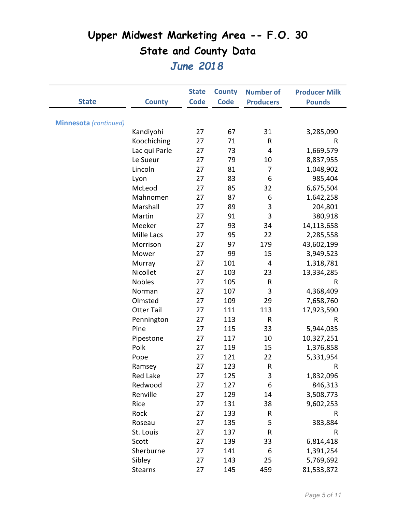|                              |                   | <b>State</b> | <b>County</b> | <b>Number of</b> | <b>Producer Milk</b> |
|------------------------------|-------------------|--------------|---------------|------------------|----------------------|
| <b>State</b>                 | <b>County</b>     | <b>Code</b>  | <b>Code</b>   | <b>Producers</b> | <b>Pounds</b>        |
| <b>Minnesota</b> (continued) |                   |              |               |                  |                      |
|                              | Kandiyohi         | 27           | 67            | 31               | 3,285,090            |
|                              | Koochiching       | 27           | 71            | ${\sf R}$        | R                    |
|                              | Lac qui Parle     | 27           | 73            | 4                | 1,669,579            |
|                              | Le Sueur          | 27           | 79            | 10               | 8,837,955            |
|                              | Lincoln           | 27           | 81            | 7                | 1,048,902            |
|                              | Lyon              | 27           | 83            | 6                | 985,404              |
|                              | McLeod            | 27           | 85            | 32               | 6,675,504            |
|                              | Mahnomen          | 27           | 87            | 6                | 1,642,258            |
|                              | Marshall          | 27           | 89            | 3                | 204,801              |
|                              | Martin            | 27           | 91            | 3                | 380,918              |
|                              | Meeker            | 27           | 93            | 34               | 14,113,658           |
|                              | Mille Lacs        | 27           | 95            | 22               | 2,285,558            |
|                              | Morrison          | 27           | 97            | 179              | 43,602,199           |
|                              | Mower             | 27           | 99            | 15               | 3,949,523            |
|                              | Murray            | 27           | 101           | 4                | 1,318,781            |
|                              | Nicollet          | 27           | 103           | 23               | 13,334,285           |
|                              | <b>Nobles</b>     | 27           | 105           | R                | R                    |
|                              | Norman            | 27           | 107           | 3                | 4,368,409            |
|                              | Olmsted           | 27           | 109           | 29               | 7,658,760            |
|                              | <b>Otter Tail</b> | 27           | 111           | 113              | 17,923,590           |
|                              | Pennington        | 27           | 113           | $\mathsf R$      | R                    |
|                              | Pine              | 27           | 115           | 33               | 5,944,035            |
|                              | Pipestone         | 27           | 117           | 10               | 10,327,251           |
|                              | Polk              | 27           | 119           | 15               | 1,376,858            |
|                              | Pope              | 27           | 121           | 22               | 5,331,954            |
|                              | Ramsey            | 27           | 123           | R                | R                    |
|                              | <b>Red Lake</b>   | 27           | 125           | 3                | 1,832,096            |
|                              | Redwood           | 27           | 127           | 6                | 846,313              |
|                              | Renville          | 27           | 129           | 14               | 3,508,773            |
|                              | Rice              | 27           | 131           | 38               | 9,602,253            |
|                              | Rock              | 27           | 133           | R                | R                    |
|                              | Roseau            | 27           | 135           | 5                | 383,884              |
|                              | St. Louis         | 27           | 137           | R                | R                    |
|                              | Scott             | 27           | 139           | 33               | 6,814,418            |
|                              | Sherburne         | 27           | 141           | 6                | 1,391,254            |
|                              | Sibley            | 27           | 143           | 25               | 5,769,692            |
|                              | <b>Stearns</b>    | 27           | 145           | 459              | 81,533,872           |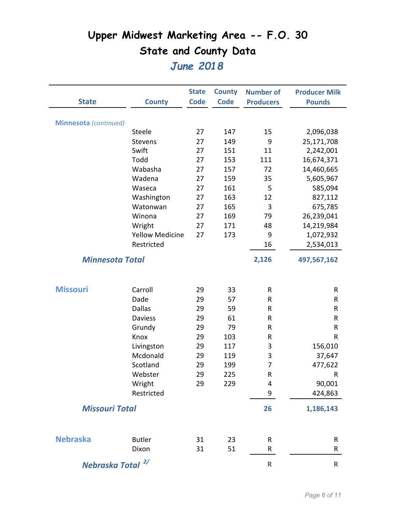|                              |                        | <b>State</b> | <b>County</b> | <b>Number of</b> | <b>Producer Milk</b> |
|------------------------------|------------------------|--------------|---------------|------------------|----------------------|
| <b>State</b>                 | <b>County</b>          | <b>Code</b>  | <b>Code</b>   | <b>Producers</b> | <b>Pounds</b>        |
| <b>Minnesota</b> (continued) |                        |              |               |                  |                      |
|                              | Steele                 | 27           | 147           | 15               | 2,096,038            |
|                              | <b>Stevens</b>         | 27           | 149           | 9                | 25,171,708           |
|                              | Swift                  | 27           | 151           | 11               | 2,242,001            |
|                              | Todd                   | 27           | 153           | 111              | 16,674,371           |
|                              | Wabasha                | 27           | 157           | 72               | 14,460,665           |
|                              | Wadena                 | 27           | 159           | 35               | 5,605,967            |
|                              | Waseca                 | 27           | 161           | 5                | 585,094              |
|                              | Washington             | 27           | 163           | 12               | 827,112              |
|                              | Watonwan               | 27           | 165           | 3                | 675,785              |
|                              | Winona                 | 27           | 169           | 79               | 26,239,041           |
|                              | Wright                 | 27           | 171           | 48               | 14,219,984           |
|                              | <b>Yellow Medicine</b> | 27           | 173           | 9                | 1,072,932            |
|                              | Restricted             |              |               | 16               | 2,534,013            |
| <b>Minnesota Total</b>       |                        |              |               | 2,126            | 497,567,162          |
| <b>Missouri</b>              | Carroll                | 29           | 33            | ${\sf R}$        | R                    |
|                              | Dade                   | 29           | 57            | R                | R                    |
|                              | <b>Dallas</b>          | 29           | 59            | R                | R                    |
|                              | <b>Daviess</b>         | 29           | 61            | R                | R                    |
|                              | Grundy                 | 29           | 79            | R                | R                    |
|                              | Knox                   | 29           | 103           | R                | $\sf R$              |
|                              | Livingston             | 29           | 117           | 3                | 156,010              |
|                              | Mcdonald               | 29           | 119           | 3                | 37,647               |
|                              | Scotland               | 29           | 199           | $\overline{7}$   | 477,622              |
|                              | Webster                | 29           | 225           | ${\sf R}$        | R                    |
|                              | Wright                 | 29           | 229           | 4                | 90,001               |
|                              | Restricted             |              |               | 9                | 424,863              |
| <b>Missouri Total</b>        |                        |              |               | 26               | 1,186,143            |
| <b>Nebraska</b>              |                        |              |               |                  |                      |
|                              | <b>Butler</b><br>Dixon | 31<br>31     | 23<br>51      | R<br>R           | R<br>R               |
| Nebraska Total               | 2/                     |              |               | R                | $\mathsf{R}$         |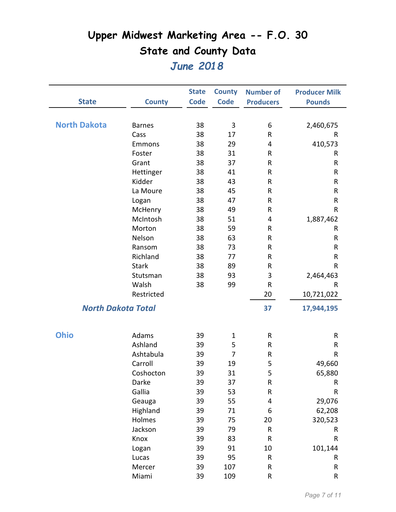|                           |               | <b>State</b> | <b>County</b> | <b>Number of</b> | <b>Producer Milk</b> |
|---------------------------|---------------|--------------|---------------|------------------|----------------------|
| <b>State</b>              | <b>County</b> | <b>Code</b>  | <b>Code</b>   | <b>Producers</b> | <b>Pounds</b>        |
|                           |               |              |               |                  |                      |
| <b>North Dakota</b>       | <b>Barnes</b> | 38           | 3             | 6                | 2,460,675            |
|                           | Cass          | 38           | 17            | R                | R                    |
|                           | Emmons        | 38           | 29            | 4                | 410,573              |
|                           | Foster        | 38           | 31            | R                | R                    |
|                           | Grant         | 38           | 37            | R                | R                    |
|                           | Hettinger     | 38           | 41            | R                | R                    |
|                           | Kidder        | 38           | 43            | R                | R                    |
|                           | La Moure      | 38           | 45            | R                | $\sf R$              |
|                           | Logan         | 38           | 47            | $\mathsf{R}$     | $\sf R$              |
|                           | McHenry       | 38           | 49            | R                | R                    |
|                           | McIntosh      | 38           | 51            | 4                | 1,887,462            |
|                           | Morton        | 38           | 59            | R                | R                    |
|                           | Nelson        | 38           | 63            | R                | R                    |
|                           | Ransom        | 38           | 73            | R                | R                    |
|                           | Richland      | 38           | 77            | R                | $\mathsf R$          |
|                           | <b>Stark</b>  | 38           | 89            | R                | R                    |
|                           | Stutsman      | 38           | 93            | 3                | 2,464,463            |
|                           | Walsh         | 38           | 99            | ${\sf R}$        | R                    |
|                           | Restricted    |              |               | 20               | 10,721,022           |
| <b>North Dakota Total</b> |               |              |               | 37               | 17,944,195           |
|                           |               |              |               |                  |                      |
| <b>Ohio</b>               | Adams         | 39           | $\mathbf 1$   | ${\sf R}$        | R                    |
|                           | Ashland       | 39           | 5             | $\sf R$          | R                    |
|                           | Ashtabula     | 39           | 7             | R                | $\mathsf{R}$         |
|                           | Carroll       | 39           | 19            | 5                | 49,660               |
|                           | Coshocton     | 39           | 31            | 5                | 65,880               |
|                           | Darke         | 39           | 37            | ${\sf R}$        | R                    |
|                           | Gallia        | 39           | 53            | R                | R                    |
|                           | Geauga        | 39           | 55            | 4                | 29,076               |
|                           | Highland      | 39           | 71            | 6                | 62,208               |
|                           | Holmes        | 39           | 75            | 20               | 320,523              |
|                           | Jackson       | 39           | 79            | ${\sf R}$        | R                    |
|                           | Knox          | 39           | 83            | ${\sf R}$        | R                    |
|                           | Logan         | 39           | 91            | 10               | 101,144              |
|                           | Lucas         | 39           | 95            | ${\sf R}$        | R                    |
|                           | Mercer        | 39           | 107           | ${\sf R}$        | ${\sf R}$            |
|                           | Miami         | 39           | 109           | ${\sf R}$        | R                    |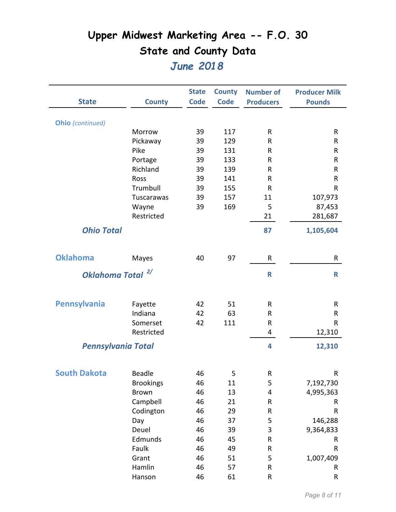| <b>State</b>            | <b>County</b>                | <b>State</b><br><b>Code</b> | <b>County</b><br><b>Code</b> | <b>Number of</b><br><b>Producers</b> | <b>Producer Milk</b><br><b>Pounds</b> |
|-------------------------|------------------------------|-----------------------------|------------------------------|--------------------------------------|---------------------------------------|
|                         |                              |                             |                              |                                      |                                       |
| <b>Ohio</b> (continued) |                              |                             |                              |                                      |                                       |
|                         | Morrow                       | 39                          | 117                          | R                                    | ${\sf R}$                             |
|                         | Pickaway                     | 39                          | 129                          | R                                    | R                                     |
|                         | Pike                         | 39                          | 131                          | R                                    | R                                     |
|                         | Portage                      | 39                          | 133                          | R                                    | R                                     |
|                         | Richland                     | 39                          | 139                          | R                                    | R                                     |
|                         | Ross                         | 39                          | 141                          | R                                    | R                                     |
|                         | Trumbull                     | 39                          | 155                          | R                                    | R                                     |
|                         | Tuscarawas                   | 39                          | 157                          | 11                                   | 107,973                               |
|                         | Wayne                        | 39                          | 169                          | 5                                    | 87,453                                |
|                         | Restricted                   |                             |                              | 21                                   | 281,687                               |
| <b>Ohio Total</b>       |                              |                             |                              | 87                                   | 1,105,604                             |
| <b>Oklahoma</b>         | Mayes                        | 40                          | 97                           | R                                    | R                                     |
|                         |                              |                             |                              |                                      |                                       |
|                         | Oklahoma Total <sup>2/</sup> |                             |                              | $\mathsf{R}$                         | R                                     |
| Pennsylvania            | Fayette                      | 42                          | 51                           | R                                    | R                                     |
|                         | Indiana                      | 42                          | 63                           | R                                    | R                                     |
|                         | Somerset                     | 42                          | 111                          | R                                    | $\mathsf{R}$                          |
|                         | Restricted                   |                             |                              | 4                                    | 12,310                                |
|                         | <b>Pennsylvania Total</b>    |                             |                              | 4                                    | 12,310                                |
|                         |                              |                             |                              |                                      |                                       |
| <b>South Dakota</b>     | <b>Beadle</b>                | 46                          | 5                            | R                                    | R                                     |
|                         | <b>Brookings</b>             | 46                          | 11                           | 5                                    | 7,192,730                             |
|                         | Brown                        | 46                          | 13                           | 4                                    | 4,995,363                             |
|                         | Campbell                     | 46                          | 21                           | R                                    | R                                     |
|                         | Codington                    | 46                          | 29                           | R                                    | R                                     |
|                         | Day                          | 46                          | 37                           | 5                                    | 146,288                               |
|                         | Deuel                        | 46                          | 39                           | 3                                    | 9,364,833                             |
|                         | Edmunds                      | 46                          | 45                           | R                                    | R                                     |
|                         | Faulk                        | 46                          | 49                           | ${\sf R}$                            | ${\sf R}$                             |
|                         | Grant                        | 46                          | 51                           | 5                                    | 1,007,409                             |
|                         | Hamlin                       | 46                          | 57                           | ${\sf R}$                            | R                                     |
|                         | Hanson                       | 46                          | 61                           | R                                    | R                                     |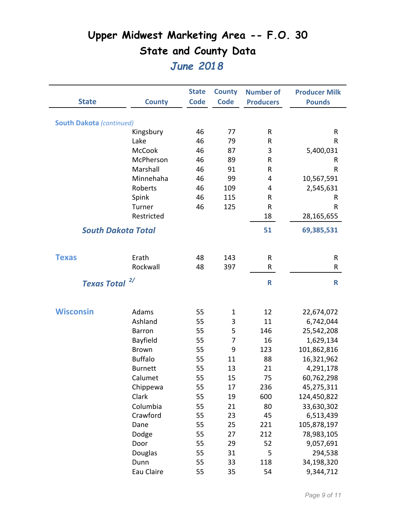|                                 |                           | <b>State</b> | <b>County</b> | <b>Number of</b> | <b>Producer Milk</b> |
|---------------------------------|---------------------------|--------------|---------------|------------------|----------------------|
| <b>State</b>                    | <b>County</b>             | <b>Code</b>  | <b>Code</b>   | <b>Producers</b> | <b>Pounds</b>        |
| <b>South Dakota (continued)</b> |                           |              |               |                  |                      |
|                                 | Kingsbury                 | 46           | 77            | R                | ${\sf R}$            |
|                                 | Lake                      | 46           | 79            | R                | R                    |
|                                 | <b>McCook</b>             | 46           | 87            | 3                | 5,400,031            |
|                                 | McPherson                 | 46           | 89            | R                | ${\sf R}$            |
|                                 | Marshall                  | 46           | 91            | R                | R                    |
|                                 | Minnehaha                 | 46           | 99            | 4                | 10,567,591           |
|                                 | Roberts                   | 46           | 109           | 4                | 2,545,631            |
|                                 | Spink                     | 46           | 115           | R                | R                    |
|                                 | Turner                    | 46           | 125           | R                | R                    |
|                                 | Restricted                |              |               | 18               | 28,165,655           |
|                                 | <b>South Dakota Total</b> |              |               | 51               | 69,385,531           |
|                                 |                           |              |               |                  |                      |
| <b>Texas</b>                    | Erath                     | 48           | 143           | R                | R                    |
|                                 | Rockwall                  | 48           | 397           | R                | ${\sf R}$            |
| <b>Texas Total</b>              | 2/                        |              |               | R                | R                    |
|                                 |                           |              |               |                  |                      |
| <b>Wisconsin</b>                | Adams                     | 55           | 1             | 12               | 22,674,072           |
|                                 | Ashland                   | 55           | 3             | 11               | 6,742,044            |
|                                 | <b>Barron</b>             | 55           | 5             | 146              | 25,542,208           |
|                                 | Bayfield                  | 55           | 7             | 16               | 1,629,134            |
|                                 | <b>Brown</b>              | 55           | 9             | 123              | 101,862,816          |
|                                 | <b>Buffalo</b>            | 55           | 11            | 88               | 16,321,962           |
|                                 | <b>Burnett</b>            | 55           | 13            | 21               | 4,291,178            |
|                                 | Calumet                   | 55           | 15            | 75               | 60,762,298           |
|                                 | Chippewa                  | 55           | 17            | 236              | 45,275,311           |
|                                 | Clark                     | 55           | 19            | 600              | 124,450,822          |
|                                 | Columbia                  | 55           | 21            | 80               | 33,630,302           |
|                                 | Crawford                  | 55           | 23            | 45               | 6,513,439            |
|                                 | Dane                      | 55           | 25            | 221              | 105,878,197          |
|                                 | Dodge                     | 55           | 27            | 212              | 78,983,105           |
|                                 | Door                      | 55           | 29            | 52               | 9,057,691            |
|                                 | Douglas                   | 55           | 31            | 5                | 294,538              |
|                                 | Dunn                      | 55           | 33            | 118              | 34,198,320           |
|                                 | Eau Claire                | 55           | 35            | 54               | 9,344,712            |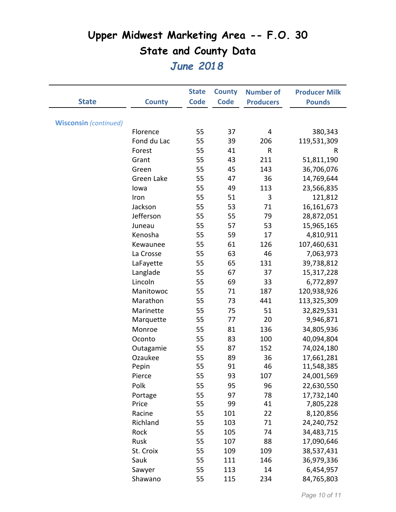|                              |               | <b>State</b> | <b>County</b> | <b>Number of</b> | <b>Producer Milk</b> |
|------------------------------|---------------|--------------|---------------|------------------|----------------------|
| <b>State</b>                 | <b>County</b> | <b>Code</b>  | <b>Code</b>   | <b>Producers</b> | <b>Pounds</b>        |
|                              |               |              |               |                  |                      |
| <b>Wisconsin</b> (continued) |               |              |               |                  |                      |
|                              | Florence      | 55           | 37            | 4                | 380,343              |
|                              | Fond du Lac   | 55           | 39            | 206              | 119,531,309          |
|                              | Forest        | 55           | 41            | R                | R                    |
|                              | Grant         | 55           | 43            | 211              | 51,811,190           |
|                              | Green         | 55           | 45            | 143              | 36,706,076           |
|                              | Green Lake    | 55           | 47            | 36               | 14,769,644           |
|                              | lowa          | 55           | 49            | 113              | 23,566,835           |
|                              | Iron          | 55           | 51            | 3                | 121,812              |
|                              | Jackson       | 55           | 53            | 71               | 16,161,673           |
|                              | Jefferson     | 55           | 55            | 79               | 28,872,051           |
|                              | Juneau        | 55           | 57            | 53               | 15,965,165           |
|                              | Kenosha       | 55           | 59            | 17               | 4,810,911            |
|                              | Kewaunee      | 55           | 61            | 126              | 107,460,631          |
|                              | La Crosse     | 55           | 63            | 46               | 7,063,973            |
|                              | LaFayette     | 55           | 65            | 131              | 39,738,812           |
|                              | Langlade      | 55           | 67            | 37               | 15,317,228           |
|                              | Lincoln       | 55           | 69            | 33               | 6,772,897            |
|                              | Manitowoc     | 55           | 71            | 187              | 120,938,926          |
|                              | Marathon      | 55           | 73            | 441              | 113,325,309          |
|                              | Marinette     | 55           | 75            | 51               | 32,829,531           |
|                              | Marquette     | 55           | 77            | 20               | 9,946,871            |
|                              | Monroe        | 55           | 81            | 136              | 34,805,936           |
|                              | Oconto        | 55           | 83            | 100              | 40,094,804           |
|                              | Outagamie     | 55           | 87            | 152              | 74,024,180           |
|                              | Ozaukee       | 55           | 89            | 36               | 17,661,281           |
|                              | Pepin         | 55           | 91            | 46               | 11,548,385           |
|                              | Pierce        | 55           | 93            | 107              | 24,001,569           |
|                              | Polk          | 55           | 95            | 96               | 22,630,550           |
|                              | Portage       | 55           | 97            | 78               | 17,732,140           |
|                              | Price         | 55           | 99            | 41               | 7,805,228            |
|                              | Racine        | 55           | 101           | 22               | 8,120,856            |
|                              | Richland      | 55           | 103           | 71               | 24,240,752           |
|                              | Rock          | 55           | 105           | 74               | 34,483,715           |
|                              | Rusk          | 55           | 107           | 88               | 17,090,646           |
|                              | St. Croix     | 55           | 109           | 109              | 38,537,431           |
|                              | Sauk          | 55           | 111           | 146              | 36,979,336           |
|                              | Sawyer        | 55           | 113           | 14               | 6,454,957            |
|                              | Shawano       | 55           | 115           | 234              | 84,765,803           |